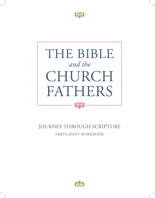



# JOURNEY THROUGH SCRIPTURE PARTICIPANT WORKBOOK

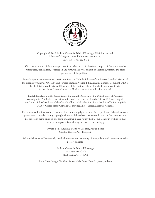

Copyright © 2019 St. Paul Center for Biblical Theology. All rights reserved. Library of Congress Control Number: 2019948715 ISBN: 978-1-941447-61-1

With the exception of short excerpts used in articles and critical reviews, no part of this work may be reproduced, transmitted, or stored in any form whatsoever, printed or electronic, without the prior permission of the publisher.

Some Scripture verses contained herein are from the Catholic Edition of the Revised Standard Version of the Bible, copyright ©1965, 1966 and Revised Standard Version Bible, Ignatius Edition, Copyright ©2006, by the Division of Christian Educators of the National Council of the Churches of Christ in the United States of America. Used by permission. All rights reserved.

English translation of the Catechism of the Catholic Church for the United States of America, copyright ©1994, United States Catholic Conference, Inc. – Libreria Editrice Vaticana. English translation of the Catechism of the Catholic Church: Modifications from the Editio Typica copyright ©1997, United States Catholic Conference, Inc. – Libreria Editrice Vaticana.

Every reasonable effort has been made to determine copyright holders of excerpted materials and to secure permissions as needed. If any copyrighted materials have been inadvertently used in this work without proper credit being given in one form or another, please notify the St. Paul Center in writing so that future printings of this work may be corrected accordingly.

> Writers: Mike Aquilina, Matthew Leonard, Raquel Lopez Graphic Design: Patty Borgman

Acknowledgements: We sincerely thank all those whose generosity of time, talent, and treasure made this project possible.

> St. Paul Center for Biblical Theology 1468 Parkview Circle Steubenville, OH 43952

Front Cover Image: *The Four Fathers of the Latin Church* – Jacob Jordaens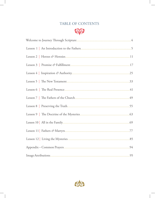# TABLE OF CONTENTS



| .25 |
|-----|
|     |
|     |
|     |
|     |
|     |
|     |
| .77 |
|     |
|     |
| .95 |

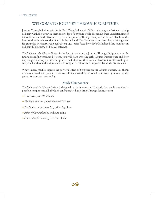### WELCOME TO JOURNEY THROUGH SCRIPTURE

Journey Through Scripture is the St. Paul Center's dynamic Bible study program designed to help ordinary Catholics grow in their knowledge of Scripture while deepening their understanding of the riches of our faith. Distinctively Catholic, Journey Through Scripture reads the Bible from the heart of the Church, considering both the Old and New Testaments and how they work together. It's grounded in history, yet it actively engages topics faced by today's Catholics. More than just an ordinary Bible study, it's biblical catechesis.

*The Bible and the Church Fathers* is the fourth study in the Journey Through Scripture series. In twelve beautifully produced lessons, you will learn who the early Church Fathers were and how they shaped the way we read Scripture. You'll discover the Church's favorite tools for reading it, and you'll understand Scripture's relationship to Tradition and, in particular, to the Sacraments.

What's more, you'll recognize the powerful effect of Scripture on the Church Fathers. For them, this was no academic pursuit. Their love of God's Word transformed their lives—just as it has the power to transform ours today.

#### Study Components

*The Bible and the Church Fathers* is designed for both group and individual study. It contains six possible components, all of which can be ordered at JourneyThroughScripture.com.

- ᛭This Participant Workbook
- ᛭*The Bible and the Church Fathers* DVD set
- ᛭*The Fathers of the Church* by Mike Aquilina
- ᛭*Faith of Our Fathers* by Mike Aquilina
- ᛭*Consuming the Word* by Dr. Scott Hahn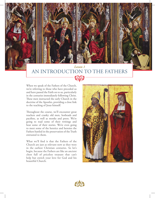

# *Lesson 1* AN INTRODUCTION TO THE FATHERS

When we speak of the Fathers of the Church, we're referring to those who have preceded us and have passed the Faith on to us, particularly in the centuries immediately following Christ. These men instructed the early Church in the doctrine of the Apostles, providing a close link to the teaching of Jesus himself.

Throughout the course, we'll encounter great teachers and cranky old men, hotheads and pacifists, as well as monks and poets. We're going to read some of their writings and hear some of their stories. We're even going to meet some of the heretics and heresies the Fathers battled in the preservation of the Truth entrusted to them.

What we'll find is that the Fathers of the Church are just as relevant now as they were in the earliest Christian centuries. So let's begin, because the Fathers are like an ancient chest full of priceless treasure that can't help but enrich your love for God and his beautiful Church.



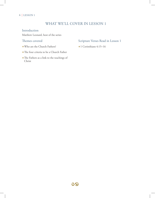#### 6 | LESSON 1

### WHAT WE'LL COVER IN LESSON 1

#### Introduction

Matthew Leonard, host of the series

#### Themes covered

- ᛭Who are the Church Fathers?
- ᛭The four criteria to be a Church Father
- ᛭The Fathers as a link to the teachings of Christ

#### Scripture Verses Read in Lesson 1

᛭1 Corinthians 4:15–16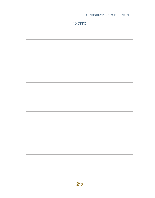#### AN INTRODUCTION TO THE FATHERS | 7

| <b>NOTES</b> |
|--------------|
|              |
|              |
|              |
|              |
|              |
|              |
|              |
|              |
|              |
|              |
|              |
|              |
|              |
|              |
|              |
|              |
|              |
|              |
|              |
|              |
|              |
|              |
|              |

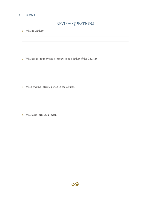#### 8 | LESSON 1

# REVIEW QUESTIONS

**1.** What is a father?

**2.** What are the four criteria necessary to be a Father of the Church?

**3.** When was the Patristic period in the Church?

**4.** What does "orthodox" mean?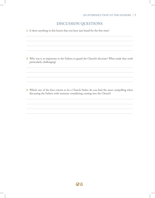### DISCUSSION QUESTIONS

**1.** Is there anything in this lesson that you have just heard for the first time?

**2.** Why was it so important to the Fathers to guard the Church's doctrine? What made that work particularly challenging?

**3.** Which one of the four criteria to be a Church Father do you find the most compelling when discussing the Fathers with someone considering coming into the Church?